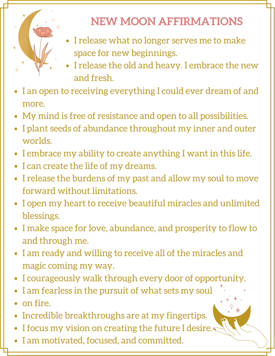

## **NEW MOON AFFIRMATIONS**

- I release what no longer serves me to make space for new beginnings.
- I release the old and heavy. I embrace the new and fresh.
- I an open to receiving everything I could ever dream of and more.
- My mind is free of resistance and open to all possibilities.
- I plant seeds of abundance throughout my inner and outer worlds.
- I embrace my ability to create anything I want in this life.
- I can create the life of my dreams.
- I release the burdens of my past and allow my soul to move forward without limitations.
- I open my heart to receive beautiful miracles and unlimited blessings.
- I make space for love, abundance, and prosperity to flow to  $\bullet$ and through me.
- I am ready and willing to receive all of the miracles and magic coming my way.
- I courageously walk through every door of opportunity.
- I am fearless in the pursuit of what sets my soul
- on fire.
- Incredible breakthroughs are at my fingertips.  $\bullet$
- I focus my vision on creating the future I desire.  $\bullet$
- I am motivated, focused, and committed.  $\bullet$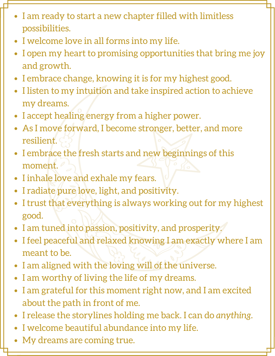- I am ready to start a new chapter filled with limitless possibilities.
- I welcome love in all forms into my life.
- I open my heart to promising opportunities that bring me joy and growth.
- I embrace change, knowing it is for my highest good.
- I listen to my intuition and take inspired action to achieve my dreams.
- I accept healing energy from a higher power.
- As I move forward, I become stronger, better, and more resilient.
- I embrace the fresh starts and new beginnings of this moment.
- I inhale love and exhale my fears.
- I radiate pure love, light, and positivity.
- I trust that everything is always working out for my highest good.
- I am tuned into passion, positivity, and prosperity.
- I feel peaceful and relaxed knowing I am exactly where I am meant to be.
- I am aligned with the loving will of the universe.
- I am worthy of living the life of my dreams.
- I am grateful for this moment right now, and I am excited  $\bullet$ about the path in front of me.
- I release the storylines holding me back. I can do *anything.*  $\bullet$
- I welcome beautiful abundance into my life.
- My dreams are coming true.